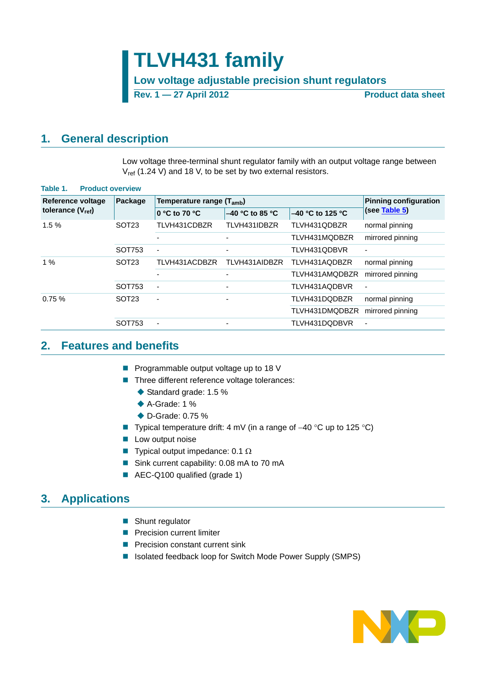**Low voltage adjustable precision shunt regulators**

**Rev. 1 — 27 April 2012 Product data sheet**

## <span id="page-0-0"></span>**1. General description**

Low voltage three-terminal shunt regulator family with an output voltage range between  $V_{ref}$  (1.24 V) and 18 V, to be set by two external resistors.

| <b>Reference voltage</b> | Package           | Temperature range (T <sub>amb</sub> ) | <b>Pinning configuration</b> |                    |                          |
|--------------------------|-------------------|---------------------------------------|------------------------------|--------------------|--------------------------|
| tolerance $(V_{ref})$    |                   | 0 °C to 70 °C                         | $-40$ °C to 85 °C            | $-40$ °C to 125 °C | (see Table 5)            |
| 1.5%                     | SOT <sub>23</sub> | TLVH431CDBZR                          | TLVH431IDBZR                 | TLVH431QDBZR       | normal pinning           |
|                          |                   |                                       | ٠                            | TLVH431MQDBZR      | mirrored pinning         |
|                          | SOT753            |                                       | ۰                            | TLVH431QDBVR       |                          |
| 1%                       | SOT <sub>23</sub> | TLVH431ACDBZR                         | TLVH431AIDBZR                | TLVH431AQDBZR      | normal pinning           |
|                          |                   |                                       | $\overline{\phantom{a}}$     | TLVH431AMQDBZR     | mirrored pinning         |
|                          | SOT753            | ٠                                     | ٠                            | TLVH431AQDBVR      | $\overline{\phantom{a}}$ |
| 0.75%                    | SOT <sub>23</sub> | $\blacksquare$                        | -                            | TLVH431DQDBZR      | normal pinning           |
|                          |                   |                                       |                              | TLVH431DMQDBZR     | mirrored pinning         |
|                          | SOT753            |                                       | ۰                            | TLVH431DQDBVR      | ٠                        |

## <span id="page-0-1"></span>**2. Features and benefits**

- **Programmable output voltage up to 18 V**
- Three different reference voltage tolerances:
	- ◆ Standard grade: 1.5 %
	- ◆ A-Grade: 1 %
	- ◆ D-Grade: 0.75 %
- Typical temperature drift: 4 mV (in a range of  $-40$  °C up to 125 °C)
- **Low output noise**
- **Typical output impedance:** 0.1  $\Omega$
- Sink current capability: 0.08 mA to 70 mA
- AEC-Q100 qualified (grade 1)

## <span id="page-0-2"></span>**3. Applications**

- Shunt regulator
- **Precision current limiter**
- **Precision constant current sink**
- Isolated feedback loop for Switch Mode Power Supply (SMPS)

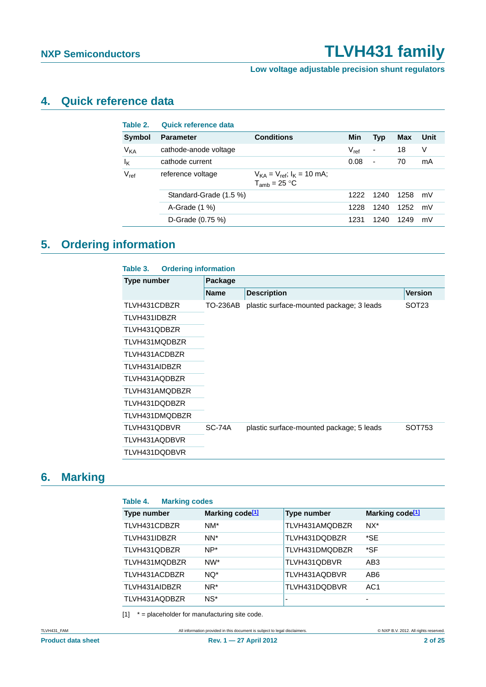**Low voltage adjustable precision shunt regulators**

## <span id="page-1-1"></span>**4. Quick reference data**

| Table 2.              | Quick reference data   |                                                            |           |            |      |      |
|-----------------------|------------------------|------------------------------------------------------------|-----------|------------|------|------|
| <b>Symbol</b>         | <b>Parameter</b>       | <b>Conditions</b>                                          | Min       | <b>Typ</b> | Max  | Unit |
| <b>V<sub>KA</sub></b> | cathode-anode voltage  |                                                            | $V_{ref}$ | -          | 18   | V    |
| $I_{\mathsf{K}}$      | cathode current        |                                                            | 0.08      | -          | 70   | mA   |
| $V_{ref}$             | reference voltage      | $V_{KA} = V_{ref}$ ; $I_{K} = 10$ mA;<br>$T_{amb}$ = 25 °C |           |            |      |      |
|                       | Standard-Grade (1.5 %) |                                                            | 1222      | 1240       | 1258 | mV   |
|                       | A-Grade $(1\%$ )       |                                                            | 1228      | 1240       | 1252 | mV   |
|                       | D-Grade (0.75 %)       |                                                            | 1231      | 1240       | 1249 | mV   |
|                       |                        |                                                            |           |            |      |      |

## <span id="page-1-2"></span>**5. Ordering information**

| <b>Ordering information</b><br>Table 3. |               |                                          |                   |
|-----------------------------------------|---------------|------------------------------------------|-------------------|
| <b>Type number</b>                      | Package       |                                          |                   |
|                                         | <b>Name</b>   | <b>Description</b>                       | <b>Version</b>    |
| TLVH431CDBZR                            | TO-236AB      | plastic surface-mounted package; 3 leads | SOT <sub>23</sub> |
| TLVH431IDBZR                            |               |                                          |                   |
| TLVH431QDBZR                            |               |                                          |                   |
| TLVH431MQDBZR                           |               |                                          |                   |
| TLVH431ACDBZR                           |               |                                          |                   |
| TLVH431AIDBZR                           |               |                                          |                   |
| TLVH431AQDBZR                           |               |                                          |                   |
| TLVH431AMQDBZR                          |               |                                          |                   |
| TLVH431DQDBZR                           |               |                                          |                   |
| TLVH431DMQDBZR                          |               |                                          |                   |
| TLVH431QDBVR                            | <b>SC-74A</b> | plastic surface-mounted package; 5 leads | SOT753            |
| TLVH431AQDBVR                           |               |                                          |                   |
| TLVH431DQDBVR                           |               |                                          |                   |
|                                         |               |                                          |                   |

## <span id="page-1-3"></span>**6. Marking**

| <b>Marking codes</b><br>Table 4. |                             |                    |                             |  |  |  |  |  |
|----------------------------------|-----------------------------|--------------------|-----------------------------|--|--|--|--|--|
| Type number                      | Marking code <sup>[1]</sup> | <b>Type number</b> | Marking code <sup>[1]</sup> |  |  |  |  |  |
| TLVH431CDBZR                     | $NM^*$                      | TLVH431AMQDBZR     | $NX*$                       |  |  |  |  |  |
| TLVH431IDBZR                     | NN <sup>*</sup>             | TLVH431DQDBZR      | *SE                         |  |  |  |  |  |
| TLVH431QDBZR                     | $NP^*$                      | TLVH431DMQDBZR     | *SF                         |  |  |  |  |  |
| TLVH431MQDBZR                    | NW*                         | TLVH431QDBVR       | AB <sub>3</sub>             |  |  |  |  |  |
| TLVH431ACDBZR                    | NQ*                         | TLVH431AQDBVR      | AB <sub>6</sub>             |  |  |  |  |  |
| TLVH431AIDBZR                    | NR*                         | TLVH431DQDBVR      | AC <sub>1</sub>             |  |  |  |  |  |
| TLVH431AQDBZR                    | $NS^*$                      | -                  | -                           |  |  |  |  |  |

<span id="page-1-0"></span> $[1]$  \* = placeholder for manufacturing site code.

TLVH431\_FAM All information provided in this document is subject to legal disclaimers. © NXP B.V. 2012. All rights reserved.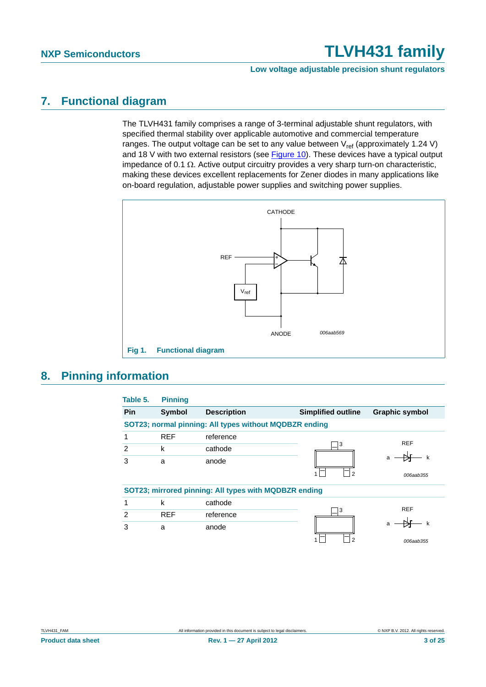**Low voltage adjustable precision shunt regulators**

## <span id="page-2-1"></span>**7. Functional diagram**

The TLVH431 family comprises a range of 3-terminal adjustable shunt regulators, with specified thermal stability over applicable automotive and commercial temperature ranges. The output voltage can be set to any value between  $V_{ref}$  (approximately 1.24 V) and 18 V with two external resistors (see [Figure 10\)](#page-10-0). These devices have a typical output impedance of 0.1  $\Omega$ . Active output circuitry provides a very sharp turn-on characteristic, making these devices excellent replacements for Zener diodes in many applications like on-board regulation, adjustable power supplies and switching power supplies.



## <span id="page-2-2"></span>**8. Pinning information**

<span id="page-2-0"></span>

| Table 5. | <b>Pinning</b> |                                                        |                           |                       |
|----------|----------------|--------------------------------------------------------|---------------------------|-----------------------|
| Pin      | <b>Symbol</b>  | <b>Description</b>                                     | <b>Simplified outline</b> | <b>Graphic symbol</b> |
|          |                | SOT23; normal pinning: All types without MQDBZR ending |                           |                       |
| 1        | <b>REF</b>     | reference                                              |                           |                       |
| 2        | k              | cathode                                                | 3                         | <b>REF</b>            |
| 3        | a              | anode                                                  |                           | a                     |
|          |                |                                                        | 2                         | 006aab355             |
|          |                | SOT23; mirrored pinning: All types with MQDBZR ending  |                           |                       |
|          | k              | cathode                                                |                           |                       |
| 2        | <b>REF</b>     | reference                                              | 3                         | <b>REF</b>            |
| 3        | a              | anode                                                  |                           | a                     |
|          |                |                                                        | っ                         | 006aab355             |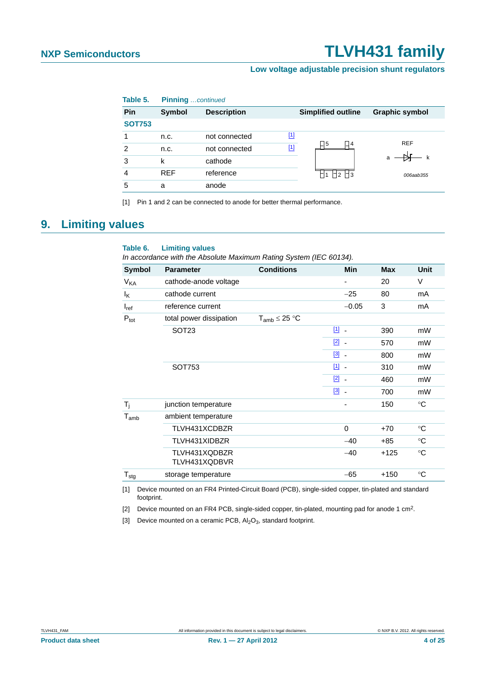### **Low voltage adjustable precision shunt regulators**

| Table 5.      | <b>Pinning</b> continued |                    |       |                           |                       |
|---------------|--------------------------|--------------------|-------|---------------------------|-----------------------|
| Pin           | Symbol                   | <b>Description</b> |       | <b>Simplified outline</b> | <b>Graphic symbol</b> |
| <b>SOT753</b> |                          |                    |       |                           |                       |
|               | n.c.                     | not connected      | $[1]$ |                           | <b>REF</b>            |
| 2             | n.c.                     | not connected      | $[1]$ | コ5<br>$\Box$ 4            |                       |
| 3             | k                        | cathode            |       |                           | k<br>a                |
| 4             | <b>REF</b>               | reference          |       | $\Box$ 2 $\Box$ 3         | 006aab355             |
| 5             | a                        | anode              |       |                           |                       |

<span id="page-3-3"></span>[1] Pin 1 and 2 can be connected to anode for better thermal performance.

## <span id="page-3-4"></span>**9. Limiting values**

### **Table 6. Limiting values**

*In accordance with the Absolute Maximum Rating System (IEC 60134).*

| <b>Symbol</b>         | <b>Parameter</b>               | <b>Conditions</b>    | <b>Min</b>               | <b>Max</b> | <b>Unit</b>  |
|-----------------------|--------------------------------|----------------------|--------------------------|------------|--------------|
| <b>V<sub>KA</sub></b> | cathode-anode voltage          |                      |                          | 20         | V            |
| Ιĸ                    | cathode current                |                      | $-25$                    | 80         | mA           |
| $I_{ref}$             | reference current              |                      | $-0.05$                  | 3          | mA           |
| $P_{\text{tot}}$      | total power dissipation        | $T_{amb} \leq 25 °C$ |                          |            |              |
|                       | SOT <sub>23</sub>              |                      | $\boxed{1}$ $\boxed{1}$  | 390        | mW           |
|                       |                                |                      | $\boxed{2}$ $\boxed{2}$  | 570        | mW           |
|                       |                                |                      | $\boxed{3}$ .            | 800        | mW           |
|                       | SOT753                         |                      | $\boxed{11}$             | 310        | mW           |
|                       |                                |                      | $\boxed{2}$ .            | 460        | mW           |
|                       |                                |                      | $\boxed{3}$              | 700        | mW           |
| $T_i$                 | junction temperature           |                      | $\overline{\phantom{0}}$ | 150        | $^{\circ}$ C |
| $T_{amb}$             | ambient temperature            |                      |                          |            |              |
|                       | TLVH431XCDBZR                  |                      | $\Omega$                 | $+70$      | $^{\circ}C$  |
|                       | TLVH431XIDBZR                  |                      | $-40$                    | $+85$      | $^{\circ}C$  |
|                       | TLVH431XQDBZR<br>TLVH431XQDBVR |                      | $-40$                    | $+125$     | $^{\circ}C$  |
| $T_{\text{stg}}$      | storage temperature            |                      | $-65$                    | $+150$     | $^{\circ}C$  |

<span id="page-3-0"></span>[1] Device mounted on an FR4 Printed-Circuit Board (PCB), single-sided copper, tin-plated and standard footprint.

<span id="page-3-1"></span>[2] Device mounted on an FR4 PCB, single-sided copper, tin-plated, mounting pad for anode 1 cm<sup>2</sup>.

<span id="page-3-2"></span>[3] Device mounted on a ceramic PCB,  $Al_2O_3$ , standard footprint.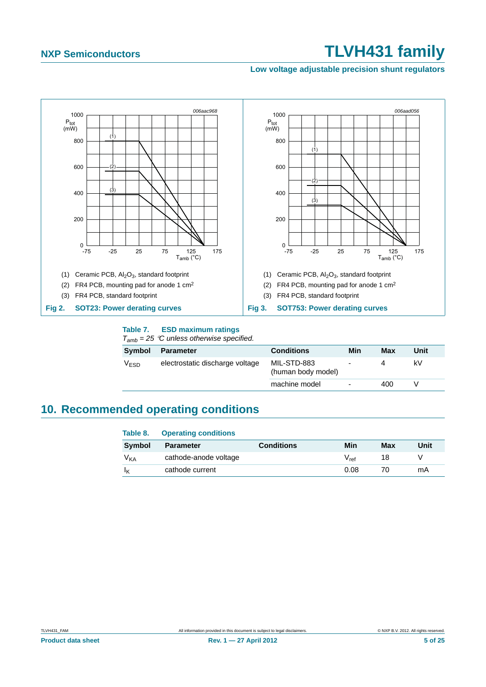### **Low voltage adjustable precision shunt regulators**



### **Table 7. ESD maximum ratings**

*Tamb = 25 C unless otherwise specified.*

| Symbol    | Parameter                       | <b>Conditions</b>                 | Min                      | Max | Unit |
|-----------|---------------------------------|-----------------------------------|--------------------------|-----|------|
| $V_{ESD}$ | electrostatic discharge voltage | MIL-STD-883<br>(human body model) |                          |     | kV   |
|           |                                 | machine model                     | $\overline{\phantom{a}}$ | 400 |      |

## <span id="page-4-0"></span>**10. Recommended operating conditions**

| Table 8.        | <b>Operating conditions</b> |                   |           |     |      |
|-----------------|-----------------------------|-------------------|-----------|-----|------|
| <b>Symbol</b>   | <b>Parameter</b>            | <b>Conditions</b> | Min       | Max | Unit |
| V <sub>KA</sub> | cathode-anode voltage       |                   | $V_{ref}$ | 18  |      |
|                 | cathode current             |                   | 0.08      | 70  | mA   |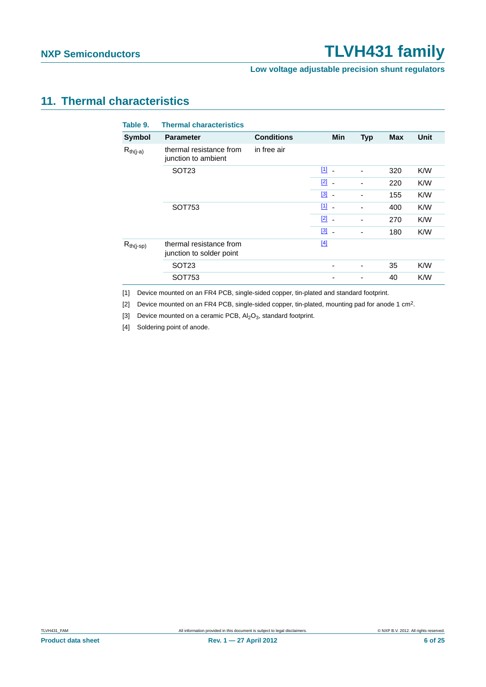**Low voltage adjustable precision shunt regulators**

## <span id="page-5-4"></span>**11. Thermal characteristics**

| <b>Thermal characteristics</b>                      |                   |                                   |                          |            |      |
|-----------------------------------------------------|-------------------|-----------------------------------|--------------------------|------------|------|
| <b>Parameter</b>                                    | <b>Conditions</b> | Min                               | <b>Typ</b>               | <b>Max</b> | Unit |
| thermal resistance from<br>junction to ambient      | in free air       |                                   |                          |            |      |
| SOT <sub>23</sub>                                   |                   | $11 -$                            | $\blacksquare$           | 320        | K/W  |
|                                                     |                   | $\boxed{2}$ -                     | $\blacksquare$           | 220        | K/W  |
|                                                     |                   | $\begin{bmatrix} 3 \end{bmatrix}$ | ٠                        | 155        | K/W  |
| SOT753                                              |                   | $\boxed{1}$ $\boxed{1}$           | ٠                        | 400        | K/W  |
|                                                     |                   | $\boxed{2}$ -                     | $\blacksquare$           | 270        | K/W  |
|                                                     |                   | $\begin{bmatrix} 3 \end{bmatrix}$ | $\overline{\phantom{a}}$ | 180        | K/W  |
| thermal resistance from<br>junction to solder point |                   | $[4]$                             |                          |            |      |
| SOT <sub>23</sub>                                   |                   |                                   | $\overline{\phantom{a}}$ | 35         | K/W  |
| SOT753                                              |                   |                                   | ٠                        | 40         | K/W  |
|                                                     |                   |                                   |                          |            |      |

<span id="page-5-0"></span>[1] Device mounted on an FR4 PCB, single-sided copper, tin-plated and standard footprint.

<span id="page-5-1"></span>[2] Device mounted on an FR4 PCB, single-sided copper, tin-plated, mounting pad for anode 1 cm<sup>2</sup>.

<span id="page-5-2"></span>[3] Device mounted on a ceramic PCB,  $Al_2O_3$ , standard footprint.

<span id="page-5-3"></span>[4] Soldering point of anode.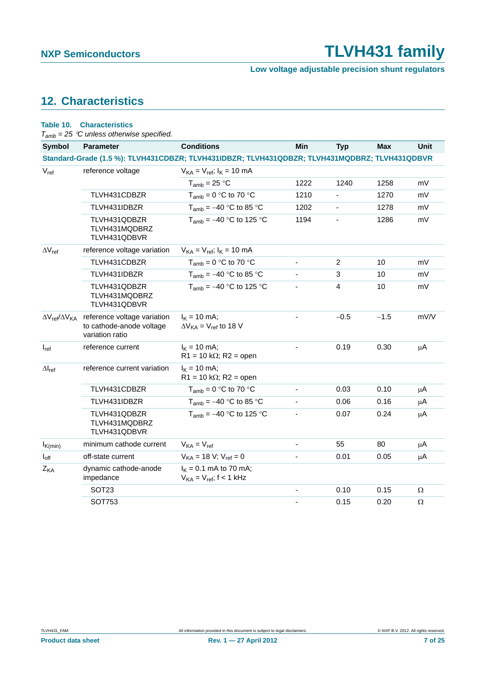**Low voltage adjustable precision shunt regulators**

## <span id="page-6-0"></span>**12. Characteristics**

| Table 10.                                    | <b>Characteristics</b><br>$T_{amb}$ = 25 °C unless otherwise specified.    |                                                                                               |                          |                |            |             |
|----------------------------------------------|----------------------------------------------------------------------------|-----------------------------------------------------------------------------------------------|--------------------------|----------------|------------|-------------|
| <b>Symbol</b>                                | <b>Parameter</b>                                                           | <b>Conditions</b>                                                                             | Min                      | <b>Typ</b>     | <b>Max</b> | <b>Unit</b> |
|                                              |                                                                            | Standard-Grade (1.5 %): TLVH431CDBZR; TLVH431IDBZR; TLVH431QDBZR; TLVH431MQDBRZ; TLVH431QDBVR |                          |                |            |             |
| $V_{ref}$                                    | reference voltage                                                          | $V_{KA} = V_{ref}$ ; $I_{K} = 10$ mA                                                          |                          |                |            |             |
|                                              |                                                                            | $T_{amb}$ = 25 °C                                                                             | 1222                     | 1240           | 1258       | mV          |
|                                              | TLVH431CDBZR                                                               | $T_{amb} = 0$ °C to 70 °C                                                                     | 1210                     | ä,             | 1270       | mV          |
|                                              | TLVH431IDBZR                                                               | $T_{amb} = -40$ °C to 85 °C                                                                   | 1202                     |                | 1278       | mV          |
|                                              | TLVH431QDBZR<br>TLVH431MQDBRZ<br>TLVH431QDBVR                              | $T_{amb} = -40$ °C to 125 °C                                                                  | 1194                     | $\blacksquare$ | 1286       | mV          |
| $\Delta V_{ref}$                             | reference voltage variation                                                | $V_{KA} = V_{ref}$ ; $I_{K} = 10$ mA                                                          |                          |                |            |             |
|                                              | TLVH431CDBZR                                                               | $T_{amb} = 0$ °C to 70 °C                                                                     | ä,                       | $\overline{c}$ | 10         | mV          |
|                                              | TLVH431IDBZR                                                               | $T_{amb} = -40$ °C to 85 °C                                                                   |                          | 3              | 10         | mV          |
|                                              | TLVH431QDBZR<br>TLVH431MQDBRZ<br>TLVH431QDBVR                              | $T_{amb} = -40$ °C to 125 °C                                                                  |                          | 4              | 10         | mV          |
| $\Delta V_{\text{ref}}/\Delta V_{\text{KA}}$ | reference voltage variation<br>to cathode-anode voltage<br>variation ratio | $I_{K}$ = 10 mA;<br>$\Delta V_{KA}$ = $V_{ref}$ to 18 V                                       |                          | $-0.5$         | $-1.5$     | mV/V        |
| $I_{ref}$                                    | reference current                                                          | $I_K = 10$ mA;<br>$R1 = 10 k\Omega$ ; R2 = open                                               |                          | 0.19           | 0.30       | μA          |
| $\Delta I_{ref}$                             | reference current variation                                                | $I_{K}$ = 10 mA;<br>$R1 = 10 k\Omega$ ; $R2 =$ open                                           |                          |                |            |             |
|                                              | TLVH431CDBZR                                                               | $T_{amb} = 0$ °C to 70 °C                                                                     | $\overline{\phantom{0}}$ | 0.03           | 0.10       | μA          |
|                                              | TLVH431IDBZR                                                               | $T_{amb} = -40$ °C to 85 °C                                                                   |                          | 0.06           | 0.16       | μA          |
|                                              | TLVH431QDBZR<br>TLVH431MQDBRZ<br>TLVH431QDBVR                              | $T_{amb} = -40$ °C to 125 °C                                                                  |                          | 0.07           | 0.24       | μA          |
| $I_{K(min)}$                                 | minimum cathode current                                                    | $V_{KA} = V_{ref}$                                                                            |                          | 55             | 80         | μA          |
| $I_{off}$                                    | off-state current                                                          | $V_{KA} = 18 V; V_{ref} = 0$                                                                  |                          | 0.01           | 0.05       | μA          |
| $Z_{\text{KA}}$                              | dynamic cathode-anode<br>impedance                                         | $I_{K} = 0.1$ mA to 70 mA;<br>$V_{KA} = V_{ref}$ ; f < 1 kHz                                  |                          |                |            |             |
|                                              | SOT <sub>23</sub>                                                          |                                                                                               |                          | 0.10           | 0.15       | Ω           |
|                                              | <b>SOT753</b>                                                              |                                                                                               | ÷.                       | 0.15           | 0.20       | Ω           |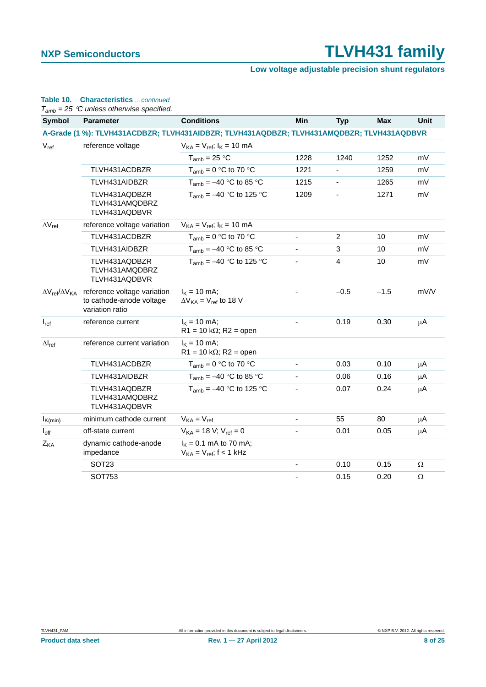### **Low voltage adjustable precision shunt regulators**

### **Table 10. Characteristics** *…continued*

*Tamb = 25 C unless otherwise specified.*

| <b>Symbol</b>                                | <b>Parameter</b>                                                           | <b>Conditions</b>                                                                         | Min                      | <b>Typ</b>               | <b>Max</b> | <b>Unit</b> |
|----------------------------------------------|----------------------------------------------------------------------------|-------------------------------------------------------------------------------------------|--------------------------|--------------------------|------------|-------------|
|                                              |                                                                            | A-Grade (1 %): TLVH431ACDBZR; TLVH431AIDBZR; TLVH431AQDBZR; TLVH431AMQDBZR; TLVH431AQDBVR |                          |                          |            |             |
| $V_{ref}$                                    | reference voltage                                                          | $V_{KA} = V_{ref}$ ; $I_{K} = 10$ mA                                                      |                          |                          |            |             |
|                                              |                                                                            | $T_{amb}$ = 25 °C                                                                         | 1228                     | 1240                     | 1252       | mV          |
|                                              | TLVH431ACDBZR                                                              | $T_{amb} = 0$ °C to 70 °C                                                                 | 1221                     | ٠                        | 1259       | mV          |
|                                              | TLVH431AIDBZR                                                              | $T_{amb} = -40$ °C to 85 °C                                                               | 1215                     | $\overline{\phantom{a}}$ | 1265       | mV          |
|                                              | TLVH431AQDBZR<br>TLVH431AMQDBRZ<br>TLVH431AQDBVR                           | $T_{amb} = -40$ °C to 125 °C                                                              | 1209                     | $\overline{\phantom{a}}$ | 1271       | mV          |
| $\Delta V_{ref}$                             | reference voltage variation                                                | $V_{KA} = V_{ref}$ ; $I_{K} = 10$ mA                                                      |                          |                          |            |             |
|                                              | TLVH431ACDBZR                                                              | $T_{amb} = 0$ °C to 70 °C                                                                 | $\blacksquare$           | $\overline{2}$           | 10         | mV          |
|                                              | TLVH431AIDBZR                                                              | $T_{amb} = -40$ °C to 85 °C                                                               | $\mathbf{r}$             | 3                        | 10         | mV          |
|                                              | TLVH431AQDBZR<br>TLVH431AMQDBRZ<br>TLVH431AQDBVR                           | $T_{amb} = -40$ °C to 125 °C                                                              | $\blacksquare$           | $\overline{4}$           | 10         | mV          |
| $\Delta V_{\text{ref}}/\Delta V_{\text{KA}}$ | reference voltage variation<br>to cathode-anode voltage<br>variation ratio | $I_{K}$ = 10 mA;<br>$\Delta V_{KA}$ = $V_{ref}$ to 18 V                                   |                          | $-0.5$                   | $-1.5$     | mV/V        |
| $I_{ref}$                                    | reference current                                                          | $I_{K}$ = 10 mA;<br>$R1 = 10 k\Omega$ ; $R2 =$ open                                       |                          | 0.19                     | 0.30       | μA          |
| $\Delta I_{ref}$                             | reference current variation                                                | $I_{K}$ = 10 mA;<br>$R1 = 10 k\Omega$ ; R2 = open                                         |                          |                          |            |             |
|                                              | TLVH431ACDBZR                                                              | $T_{amb} = 0$ °C to 70 °C                                                                 |                          | 0.03                     | 0.10       | μA          |
|                                              | TLVH431AIDBZR                                                              | $T_{amb} = -40$ °C to 85 °C                                                               | $\overline{\phantom{a}}$ | 0.06                     | 0.16       | $\mu$ A     |
|                                              | TLVH431AQDBZR<br>TLVH431AMQDBRZ<br>TLVH431AQDBVR                           | $T_{amb} = -40$ °C to 125 °C                                                              |                          | 0.07                     | 0.24       | μA          |
| $I_{K(min)}$                                 | minimum cathode current                                                    | $V_{KA} = V_{ref}$                                                                        | $\blacksquare$           | 55                       | 80         | μA          |
| $I_{off}$                                    | off-state current                                                          | $V_{KA} = 18 V; V_{ref} = 0$                                                              | $\overline{\phantom{a}}$ | 0.01                     | 0.05       | μA          |
| Z <sub>KA</sub>                              | dynamic cathode-anode<br>impedance                                         | $I_{K} = 0.1$ mA to 70 mA;<br>$V_{KA} = V_{ref}$ ; f < 1 kHz                              |                          |                          |            |             |
|                                              | SOT <sub>23</sub>                                                          |                                                                                           | $\blacksquare$           | 0.10                     | 0.15       | Ω           |
|                                              | SOT753                                                                     |                                                                                           |                          | 0.15                     | 0.20       | $\Omega$    |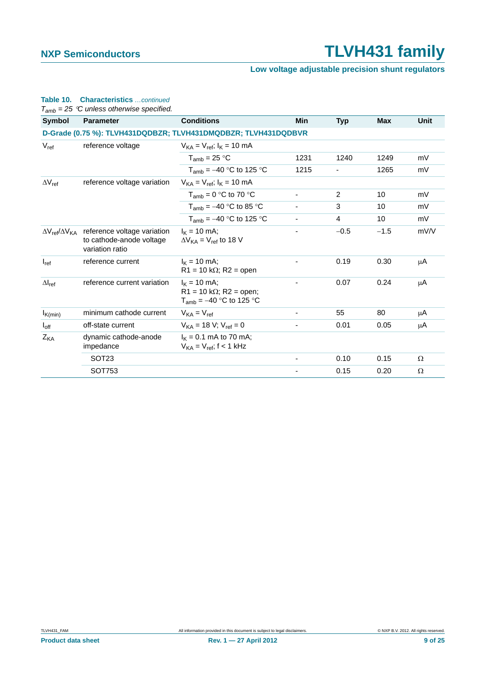### **Low voltage adjustable precision shunt regulators**

### **Table 10. Characteristics** *…continued*

*Tamb = 25 C unless otherwise specified.*

| <b>Symbol</b>                          | <b>Parameter</b>                                                           | <b>Conditions</b>                                                                  | Min  | <b>Typ</b> | <b>Max</b> | Unit |
|----------------------------------------|----------------------------------------------------------------------------|------------------------------------------------------------------------------------|------|------------|------------|------|
|                                        | D-Grade (0.75 %): TLVH431DQDBZR; TLVH431DMQDBZR; TLVH431DQDBVR             |                                                                                    |      |            |            |      |
| $V_{ref}$                              | reference voltage                                                          | $V_{KA} = V_{ref}$ ; $I_{K} = 10$ mA                                               |      |            |            |      |
|                                        |                                                                            | $T_{amb}$ = 25 °C                                                                  | 1231 | 1240       | 1249       | mV   |
|                                        |                                                                            | $T_{amb} = -40$ °C to 125 °C                                                       | 1215 |            | 1265       | mV   |
| $\Delta V_{ref}$                       | reference voltage variation                                                | $V_{KA} = V_{ref}$ ; $I_{K} = 10$ mA                                               |      |            |            |      |
|                                        |                                                                            | $T_{amb} = 0$ °C to 70 °C                                                          |      | 2          | 10         | mV   |
|                                        |                                                                            | $T_{amb} = -40$ °C to 85 °C                                                        |      | 3          | 10         | mV   |
|                                        |                                                                            | $T_{amb} = -40$ °C to 125 °C                                                       |      | 4          | 10         | mV   |
| $\Delta V_{\rm ref}/\Delta V_{\rm KA}$ | reference voltage variation<br>to cathode-anode voltage<br>variation ratio | $I_{\rm K}$ = 10 mA;<br>$\Delta V_{KA}$ = $V_{ref}$ to 18 V                        |      | $-0.5$     | $-1.5$     | mV/V |
| $I_{ref}$                              | reference current                                                          | $I_K = 10$ mA;<br>$R1 = 10 k\Omega$ ; R2 = open                                    |      | 0.19       | 0.30       | μA   |
| $\Delta I_{ref}$                       | reference current variation                                                | $I_{K}$ = 10 mA;<br>$R1 = 10 k\Omega$ ; R2 = open;<br>$T_{amb} = -40$ °C to 125 °C |      | 0.07       | 0.24       | μA   |
| $I_{K(min)}$                           | minimum cathode current                                                    | $V_{KA} = V_{ref}$                                                                 |      | 55         | 80         | μA   |
| $I_{off}$                              | off-state current                                                          | $V_{KA} = 18 V$ ; $V_{ref} = 0$                                                    | ٠    | 0.01       | 0.05       | μA   |
| Z <sub>KA</sub>                        | dynamic cathode-anode<br>impedance                                         | $I_{K} = 0.1$ mA to 70 mA;<br>$V_{KA} = V_{ref}$ ; f < 1 kHz                       |      |            |            |      |
|                                        | SOT <sub>23</sub>                                                          |                                                                                    |      | 0.10       | 0.15       | Ω    |
|                                        | SOT753                                                                     |                                                                                    | -    | 0.15       | 0.20       | Ω    |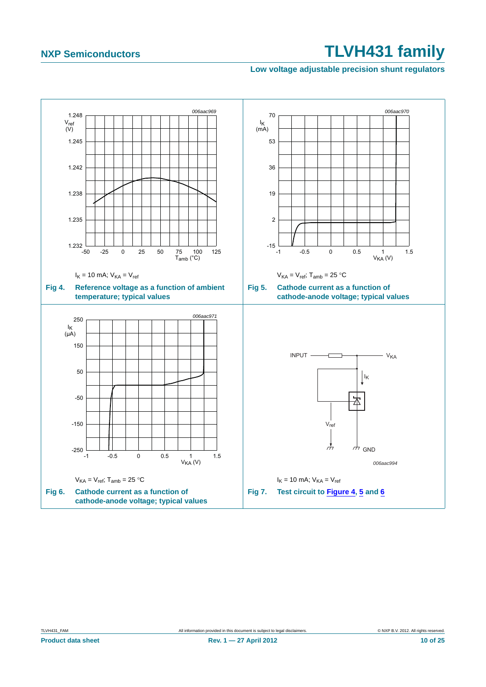### <span id="page-9-2"></span>**Low voltage adjustable precision shunt regulators**

<span id="page-9-1"></span><span id="page-9-0"></span>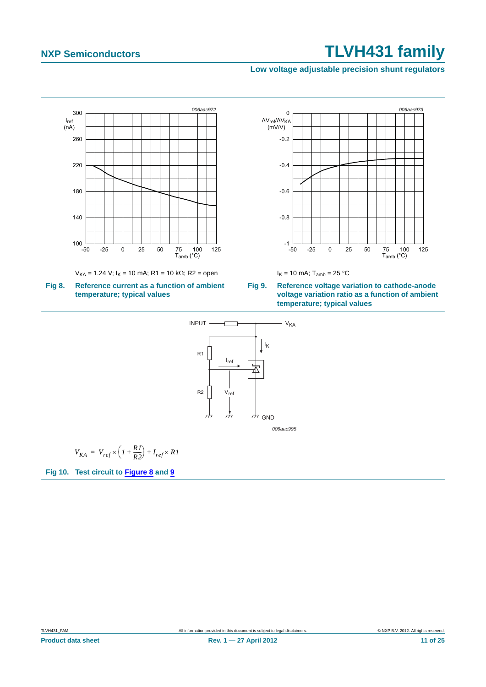### <span id="page-10-2"></span>**Low voltage adjustable precision shunt regulators**

<span id="page-10-1"></span>

<span id="page-10-0"></span>**Product data sheet Rev. 1 — 27 April 2012** 11 of 25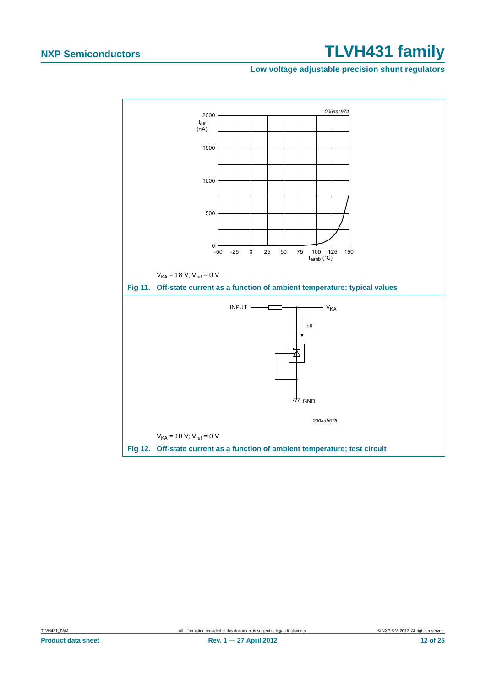### **Low voltage adjustable precision shunt regulators**



**Product data sheet Rev. 1 — 27 April 2012** 12 of 25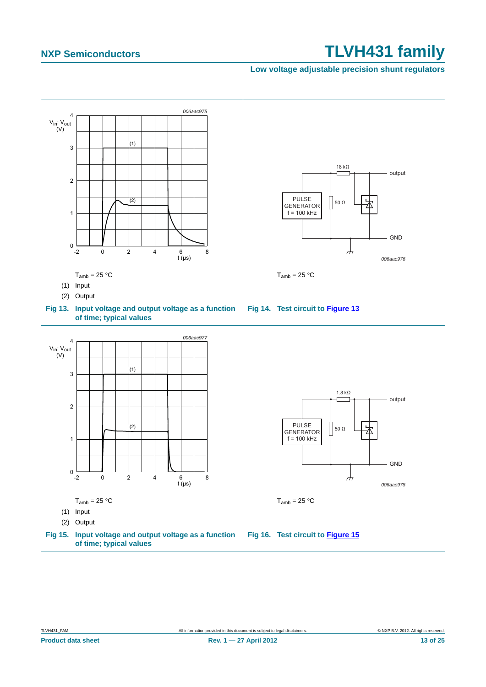### **Low voltage adjustable precision shunt regulators**

<span id="page-12-1"></span><span id="page-12-0"></span>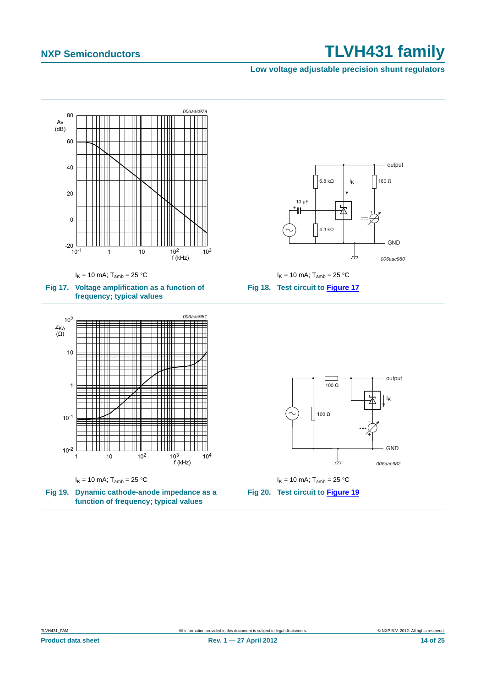### **Low voltage adjustable precision shunt regulators**

<span id="page-13-1"></span><span id="page-13-0"></span>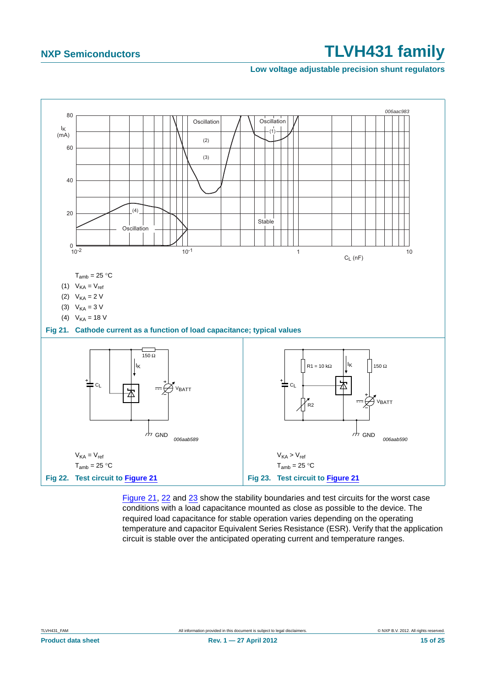### **Low voltage adjustable precision shunt regulators**



<span id="page-14-2"></span><span id="page-14-1"></span><span id="page-14-0"></span>[Figure 21](#page-14-0), [22](#page-14-1) and [23](#page-14-2) show the stability boundaries and test circuits for the worst case conditions with a load capacitance mounted as close as possible to the device. The required load capacitance for stable operation varies depending on the operating temperature and capacitor Equivalent Series Resistance (ESR). Verify that the application circuit is stable over the anticipated operating current and temperature ranges.

**Product data sheet Rev. 1 — 27 April 2012** 15 of 25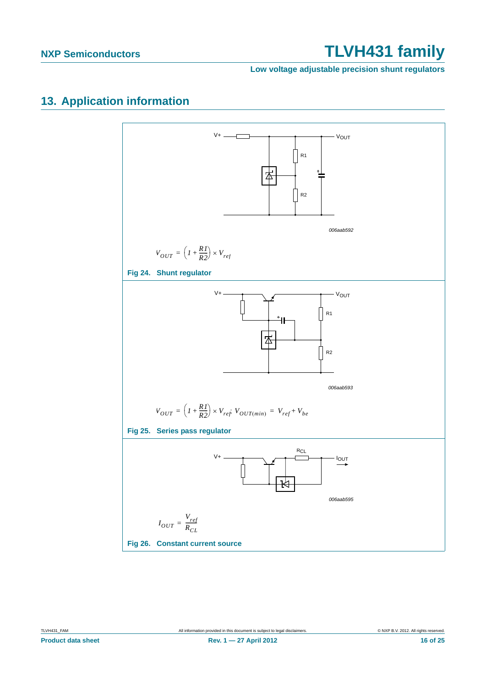**Low voltage adjustable precision shunt regulators**

## <span id="page-15-0"></span>**13. Application information**

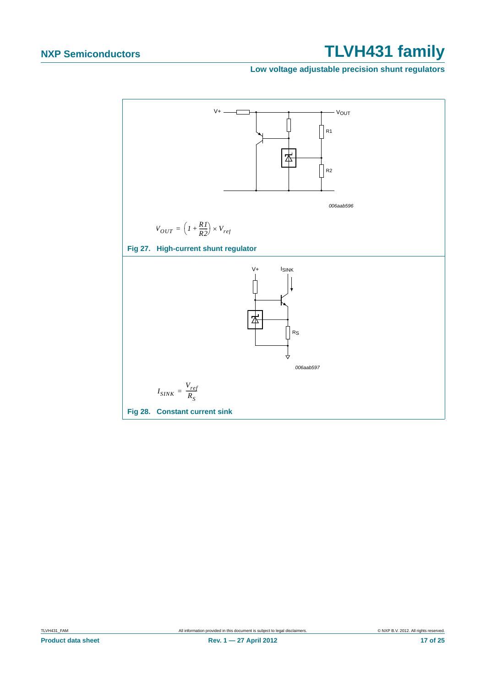### **Low voltage adjustable precision shunt regulators**

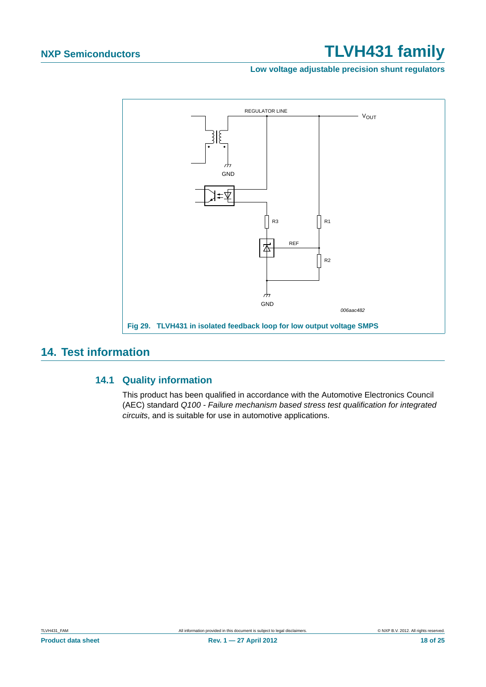**Low voltage adjustable precision shunt regulators**



## <span id="page-17-1"></span><span id="page-17-0"></span>**14. Test information**

### **14.1 Quality information**

This product has been qualified in accordance with the Automotive Electronics Council (AEC) standard *Q100 - Failure mechanism based stress test qualification for integrated circuits*, and is suitable for use in automotive applications.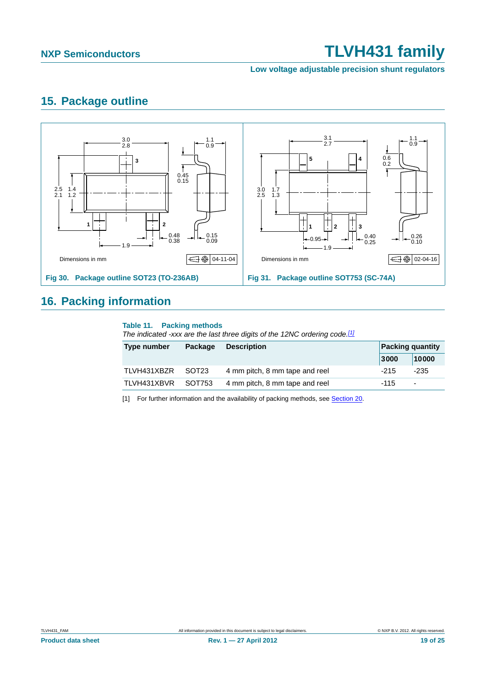**Low voltage adjustable precision shunt regulators**

## <span id="page-18-1"></span>**15. Package outline**



## <span id="page-18-2"></span>**16. Packing information**

### **Table 11. Packing methods**

*The indicated -xxx are the last three digits of the 12NC ordering code.[\[1\]](#page-18-0)*

| Type number | Package           | <b>Description</b>             |        | <b>Packing quantity</b>  |  |
|-------------|-------------------|--------------------------------|--------|--------------------------|--|
|             |                   |                                | 3000   | 10000                    |  |
| TLVH431XBZR | SOT <sub>23</sub> | 4 mm pitch, 8 mm tape and reel | $-215$ | -235                     |  |
| TLVH431XBVR | SOT753            | 4 mm pitch, 8 mm tape and reel | -115   | $\overline{\phantom{a}}$ |  |

<span id="page-18-0"></span>[1] For further information and the availability of packing methods, see [Section 20](#page-23-0).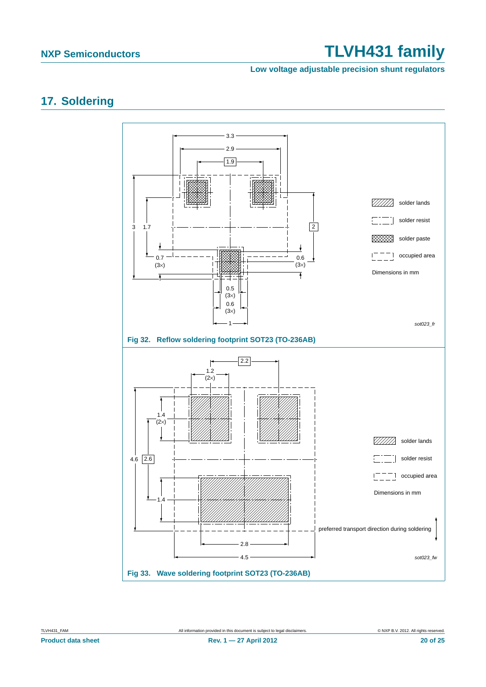**Low voltage adjustable precision shunt regulators**

## <span id="page-19-0"></span>**17. Soldering**

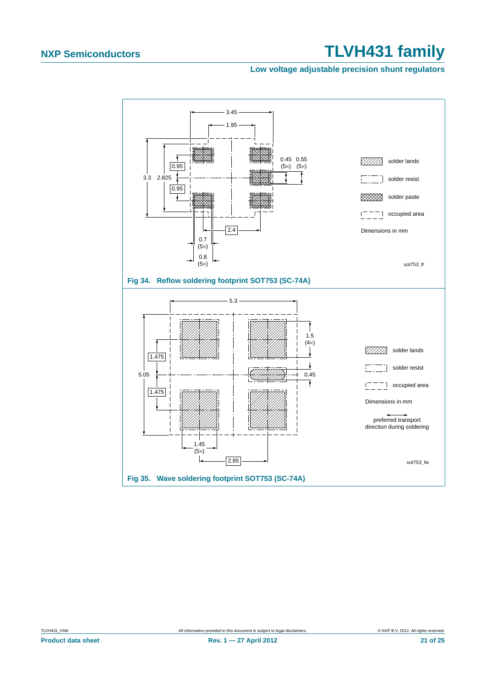### **Low voltage adjustable precision shunt regulators**



**Product data sheet Rev. 1 — 27 April 2012 21 of 25**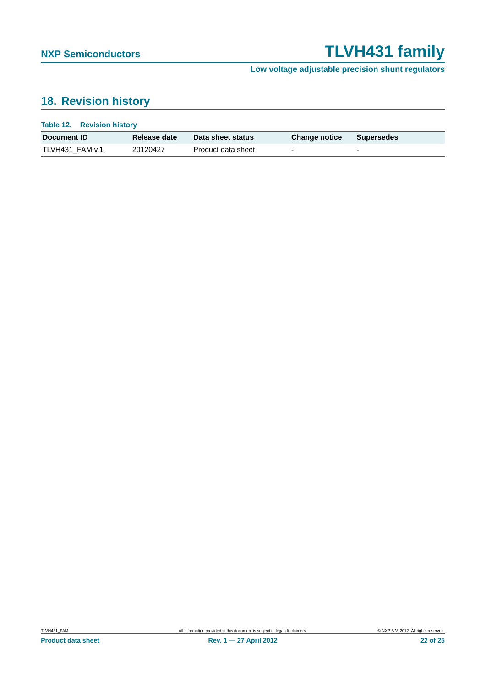**Low voltage adjustable precision shunt regulators**

## <span id="page-21-0"></span>**18. Revision history**

| Table 12. Revision history |              |                    |                          |                          |
|----------------------------|--------------|--------------------|--------------------------|--------------------------|
| Document ID                | Release date | Data sheet status  | <b>Change notice</b>     | <b>Supersedes</b>        |
| TLVH431 FAM v.1            | 20120427     | Product data sheet | $\overline{\phantom{0}}$ | $\overline{\phantom{0}}$ |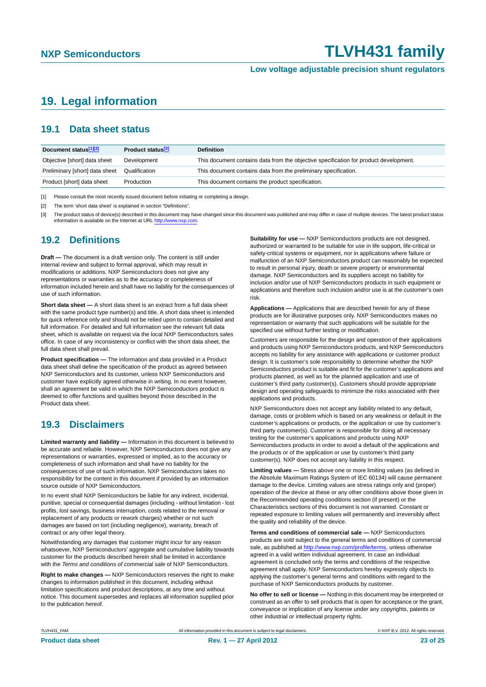**Low voltage adjustable precision shunt regulators**

## <span id="page-22-0"></span>**19. Legal information**

### <span id="page-22-1"></span>**19.1 Data sheet status**

| Document status[1][2]          | Product status <sup>[3]</sup> | <b>Definition</b>                                                                     |
|--------------------------------|-------------------------------|---------------------------------------------------------------------------------------|
| Objective [short] data sheet   | Development                   | This document contains data from the objective specification for product development. |
| Preliminary [short] data sheet | Qualification                 | This document contains data from the preliminary specification.                       |
| Product [short] data sheet     | Production                    | This document contains the product specification.                                     |

[1] Please consult the most recently issued document before initiating or completing a design.

[2] The term 'short data sheet' is explained in section "Definitions".

[3] The product status of device(s) described in this document may have changed since this document was published and may differ in case of multiple devices. The latest product status<br>information is available on the Intern

### <span id="page-22-2"></span>**19.2 Definitions**

**Draft —** The document is a draft version only. The content is still under internal review and subject to formal approval, which may result in modifications or additions. NXP Semiconductors does not give any representations or warranties as to the accuracy or completeness of information included herein and shall have no liability for the consequences of use of such information.

**Short data sheet —** A short data sheet is an extract from a full data sheet with the same product type number(s) and title. A short data sheet is intended for quick reference only and should not be relied upon to contain detailed and full information. For detailed and full information see the relevant full data sheet, which is available on request via the local NXP Semiconductors sales office. In case of any inconsistency or conflict with the short data sheet, the full data sheet shall prevail.

**Product specification —** The information and data provided in a Product data sheet shall define the specification of the product as agreed between NXP Semiconductors and its customer, unless NXP Semiconductors and customer have explicitly agreed otherwise in writing. In no event however, shall an agreement be valid in which the NXP Semiconductors product is deemed to offer functions and qualities beyond those described in the Product data sheet.

### <span id="page-22-3"></span>**19.3 Disclaimers**

**Limited warranty and liability —** Information in this document is believed to be accurate and reliable. However, NXP Semiconductors does not give any representations or warranties, expressed or implied, as to the accuracy or completeness of such information and shall have no liability for the consequences of use of such information. NXP Semiconductors takes no responsibility for the content in this document if provided by an information source outside of NXP Semiconductors.

In no event shall NXP Semiconductors be liable for any indirect, incidental, punitive, special or consequential damages (including - without limitation - lost profits, lost savings, business interruption, costs related to the removal or replacement of any products or rework charges) whether or not such damages are based on tort (including negligence), warranty, breach of contract or any other legal theory.

Notwithstanding any damages that customer might incur for any reason whatsoever, NXP Semiconductors' aggregate and cumulative liability towards customer for the products described herein shall be limited in accordance with the *Terms and conditions of commercial sale* of NXP Semiconductors.

**Right to make changes —** NXP Semiconductors reserves the right to make changes to information published in this document, including without limitation specifications and product descriptions, at any time and without notice. This document supersedes and replaces all information supplied prior to the publication hereof.

**Suitability for use —** NXP Semiconductors products are not designed, authorized or warranted to be suitable for use in life support, life-critical or safety-critical systems or equipment, nor in applications where failure or malfunction of an NXP Semiconductors product can reasonably be expected to result in personal injury, death or severe property or environmental damage. NXP Semiconductors and its suppliers accept no liability for inclusion and/or use of NXP Semiconductors products in such equipment or applications and therefore such inclusion and/or use is at the customer's own risk.

**Applications —** Applications that are described herein for any of these products are for illustrative purposes only. NXP Semiconductors makes no representation or warranty that such applications will be suitable for the specified use without further testing or modification.

Customers are responsible for the design and operation of their applications and products using NXP Semiconductors products, and NXP Semiconductors accepts no liability for any assistance with applications or customer product design. It is customer's sole responsibility to determine whether the NXP Semiconductors product is suitable and fit for the customer's applications and products planned, as well as for the planned application and use of customer's third party customer(s). Customers should provide appropriate design and operating safeguards to minimize the risks associated with their applications and products.

NXP Semiconductors does not accept any liability related to any default. damage, costs or problem which is based on any weakness or default in the customer's applications or products, or the application or use by customer's third party customer(s). Customer is responsible for doing all necessary testing for the customer's applications and products using NXP Semiconductors products in order to avoid a default of the applications and the products or of the application or use by customer's third party customer(s). NXP does not accept any liability in this respect.

**Limiting values —** Stress above one or more limiting values (as defined in the Absolute Maximum Ratings System of IEC 60134) will cause permanent damage to the device. Limiting values are stress ratings only and (proper) operation of the device at these or any other conditions above those given in the Recommended operating conditions section (if present) or the Characteristics sections of this document is not warranted. Constant or repeated exposure to limiting values will permanently and irreversibly affect the quality and reliability of the device.

**Terms and conditions of commercial sale —** NXP Semiconductors products are sold subject to the general terms and conditions of commercial sale, as published at<http://www.nxp.com/profile/terms>, unless otherwise agreed in a valid written individual agreement. In case an individual agreement is concluded only the terms and conditions of the respective agreement shall apply. NXP Semiconductors hereby expressly objects to applying the customer's general terms and conditions with regard to the purchase of NXP Semiconductors products by customer.

**No offer to sell or license —** Nothing in this document may be interpreted or construed as an offer to sell products that is open for acceptance or the grant, conveyance or implication of any license under any copyrights, patents or other industrial or intellectual property rights.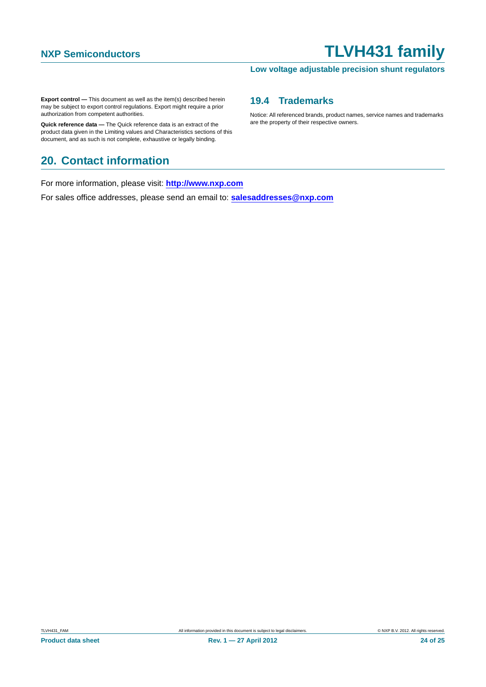### **Low voltage adjustable precision shunt regulators**

**Export control —** This document as well as the item(s) described herein may be subject to export control regulations. Export might require a prior authorization from competent authorities.

**Quick reference data —** The Quick reference data is an extract of the product data given in the Limiting values and Characteristics sections of this document, and as such is not complete, exhaustive or legally binding.

## <span id="page-23-0"></span>**20. Contact information**

For more information, please visit: **http://www.nxp.com**

For sales office addresses, please send an email to: **salesaddresses@nxp.com**

### <span id="page-23-1"></span>**19.4 Trademarks**

Notice: All referenced brands, product names, service names and trademarks are the property of their respective owners.